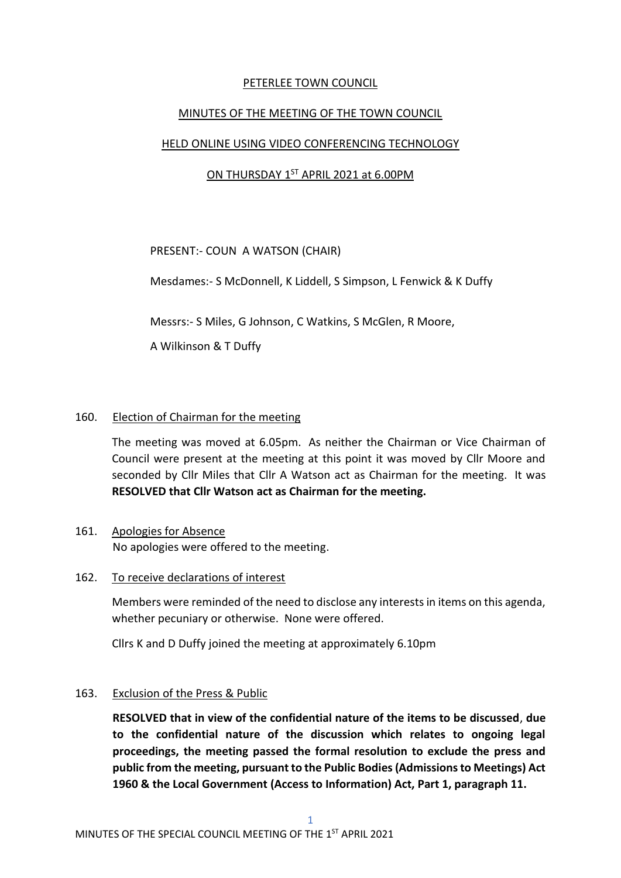# PETERLEE TOWN COUNCIL

## MINUTES OF THE MEETING OF THE TOWN COUNCIL

## HELD ONLINE USING VIDEO CONFERENCING TECHNOLOGY

# ON THURSDAY 1ST APRIL 2021 at 6.00PM

PRESENT:- COUN A WATSON (CHAIR)

Mesdames:- S McDonnell, K Liddell, S Simpson, L Fenwick & K Duffy

Messrs:- S Miles, G Johnson, C Watkins, S McGlen, R Moore,

A Wilkinson & T Duffy

## 160. Election of Chairman for the meeting

The meeting was moved at 6.05pm. As neither the Chairman or Vice Chairman of Council were present at the meeting at this point it was moved by Cllr Moore and seconded by Cllr Miles that Cllr A Watson act as Chairman for the meeting. It was **RESOLVED that Cllr Watson act as Chairman for the meeting.**

- 161. Apologies for Absence No apologies were offered to the meeting.
- 162. To receive declarations of interest

Members were reminded of the need to disclose any interests in items on this agenda, whether pecuniary or otherwise. None were offered.

Cllrs K and D Duffy joined the meeting at approximately 6.10pm

#### 163. Exclusion of the Press & Public

**RESOLVED that in view of the confidential nature of the items to be discussed**, **due to the confidential nature of the discussion which relates to ongoing legal proceedings, the meeting passed the formal resolution to exclude the press and public from the meeting, pursuant to the Public Bodies (Admissions to Meetings) Act 1960 & the Local Government (Access to Information) Act, Part 1, paragraph 11.**

1